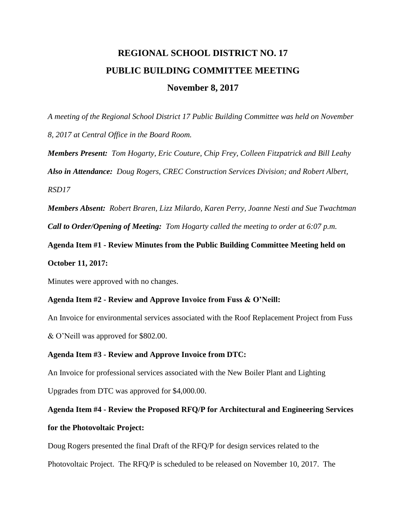# **REGIONAL SCHOOL DISTRICT NO. 17 PUBLIC BUILDING COMMITTEE MEETING November 8, 2017**

*A meeting of the Regional School District 17 Public Building Committee was held on November 8, 2017 at Central Office in the Board Room.*

*Members Present: Tom Hogarty, Eric Couture, Chip Frey, Colleen Fitzpatrick and Bill Leahy Also in Attendance: Doug Rogers, CREC Construction Services Division; and Robert Albert, RSD17*

*Members Absent: Robert Braren, Lizz Milardo, Karen Perry, Joanne Nesti and Sue Twachtman Call to Order/Opening of Meeting: Tom Hogarty called the meeting to order at 6:07 p.m.*

**Agenda Item #1 - Review Minutes from the Public Building Committee Meeting held on October 11, 2017:**

Minutes were approved with no changes.

#### **Agenda Item #2 - Review and Approve Invoice from Fuss & O'Neill:**

An Invoice for environmental services associated with the Roof Replacement Project from Fuss & O'Neill was approved for \$802.00.

## **Agenda Item #3 - Review and Approve Invoice from DTC:**

An Invoice for professional services associated with the New Boiler Plant and Lighting

Upgrades from DTC was approved for \$4,000.00.

**Agenda Item #4 - Review the Proposed RFQ/P for Architectural and Engineering Services for the Photovoltaic Project:**

Doug Rogers presented the final Draft of the RFQ/P for design services related to the

Photovoltaic Project. The RFQ/P is scheduled to be released on November 10, 2017. The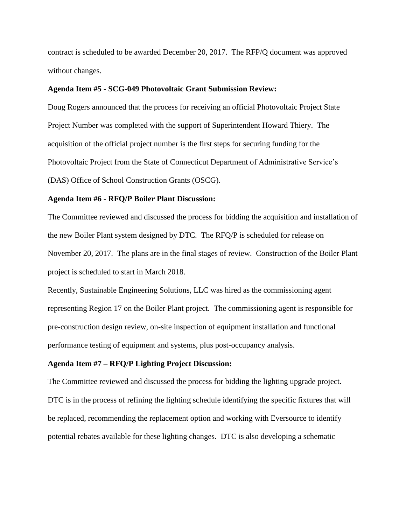contract is scheduled to be awarded December 20, 2017. The RFP/Q document was approved without changes.

#### **Agenda Item #5 - SCG-049 Photovoltaic Grant Submission Review:**

Doug Rogers announced that the process for receiving an official Photovoltaic Project State Project Number was completed with the support of Superintendent Howard Thiery. The acquisition of the official project number is the first steps for securing funding for the Photovoltaic Project from the State of Connecticut Department of Administrative Service's (DAS) Office of School Construction Grants (OSCG).

#### **Agenda Item #6 - RFQ/P Boiler Plant Discussion:**

The Committee reviewed and discussed the process for bidding the acquisition and installation of the new Boiler Plant system designed by DTC. The RFQ/P is scheduled for release on November 20, 2017. The plans are in the final stages of review. Construction of the Boiler Plant project is scheduled to start in March 2018.

Recently, Sustainable Engineering Solutions, LLC was hired as the commissioning agent representing Region 17 on the Boiler Plant project. The commissioning agent is responsible for pre-construction design review, on-site inspection of equipment installation and functional performance testing of equipment and systems, plus post-occupancy analysis.

#### **Agenda Item #7 – RFQ/P Lighting Project Discussion:**

The Committee reviewed and discussed the process for bidding the lighting upgrade project. DTC is in the process of refining the lighting schedule identifying the specific fixtures that will be replaced, recommending the replacement option and working with Eversource to identify potential rebates available for these lighting changes. DTC is also developing a schematic